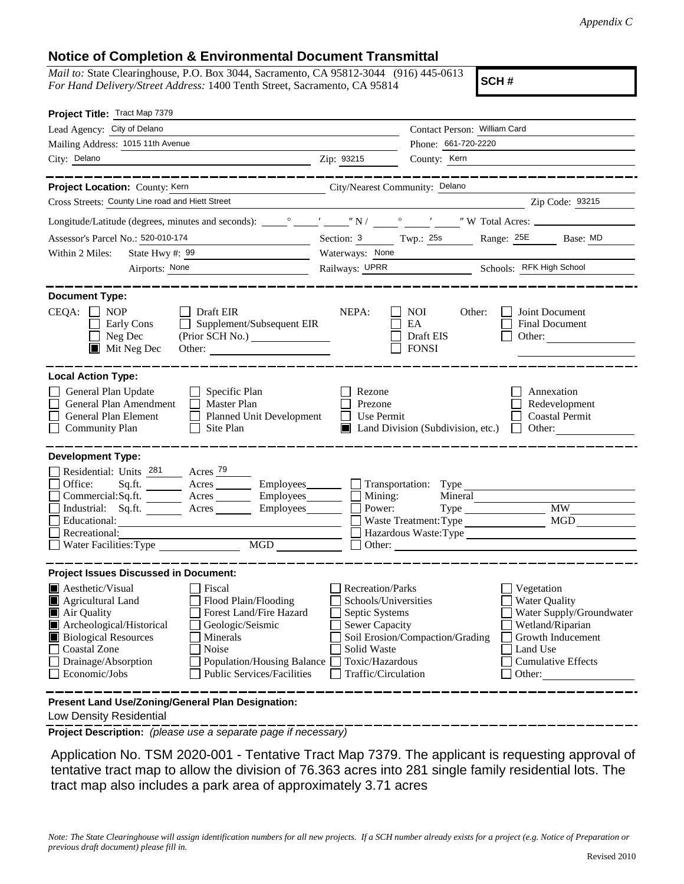## **Notice of Completion & Environmental Document Transmittal**

*Mail to:* State Clearinghouse, P.O. Box 3044, Sacramento, CA 95812-3044 (916) 445-0613 *For Hand Delivery/Street Address:* 1400 Tenth Street, Sacramento, CA 95814

**SCH #**

| Project Title: Tract Map 7379                                                                                                                                                                                                                                                                                                                                                                                                      |                                                                                |                                                                         |                                                                                          |  |
|------------------------------------------------------------------------------------------------------------------------------------------------------------------------------------------------------------------------------------------------------------------------------------------------------------------------------------------------------------------------------------------------------------------------------------|--------------------------------------------------------------------------------|-------------------------------------------------------------------------|------------------------------------------------------------------------------------------|--|
| Lead Agency: City of Delano                                                                                                                                                                                                                                                                                                                                                                                                        | Contact Person: William Card                                                   |                                                                         |                                                                                          |  |
| Mailing Address: 1015 11th Avenue                                                                                                                                                                                                                                                                                                                                                                                                  |                                                                                | Phone: 661-720-2220                                                     |                                                                                          |  |
| City: Delano<br><u> 1980 - Johann Barn, mars and de Brasilian (b. 1980)</u>                                                                                                                                                                                                                                                                                                                                                        | Zip: 93215                                                                     | County: Kern                                                            |                                                                                          |  |
| ___________                                                                                                                                                                                                                                                                                                                                                                                                                        |                                                                                |                                                                         | __________________                                                                       |  |
| City/Nearest Community: Delano<br>Project Location: County: Kern                                                                                                                                                                                                                                                                                                                                                                   |                                                                                |                                                                         |                                                                                          |  |
| Cross Streets: County Line road and Hiett Street                                                                                                                                                                                                                                                                                                                                                                                   |                                                                                |                                                                         | Zip Code: 93215                                                                          |  |
|                                                                                                                                                                                                                                                                                                                                                                                                                                    |                                                                                |                                                                         |                                                                                          |  |
| Assessor's Parcel No.: 520-010-174                                                                                                                                                                                                                                                                                                                                                                                                 |                                                                                |                                                                         | Section: 3 Twp.: 25s Range: 25E Base: MD                                                 |  |
| Within 2 Miles:<br>State Hwy #: $99$                                                                                                                                                                                                                                                                                                                                                                                               | Waterways: None                                                                |                                                                         |                                                                                          |  |
| Airports: None                                                                                                                                                                                                                                                                                                                                                                                                                     |                                                                                | Railways: UPRR Schools: RFK High School                                 |                                                                                          |  |
| <b>Document Type:</b><br>$CEQA: \Box NP$<br>$\Box$ Draft EIR<br>Supplement/Subsequent EIR<br>Early Cons<br>Neg Dec<br>(Prior SCH No.)<br>$\blacksquare$<br>$\blacksquare$ Mit Neg Dec                                                                                                                                                                                                                                              | NEPA:                                                                          | NOI<br>Other:<br>EA<br>Draft EIS<br><b>FONSI</b>                        | Joint Document<br>Final Document<br>Other:                                               |  |
| <b>Local Action Type:</b><br>General Plan Update<br>$\Box$ Specific Plan<br>General Plan Amendment<br>$\Box$ Master Plan<br>General Plan Element<br>Planned Unit Development<br><b>Community Plan</b><br>$\Box$ Site Plan                                                                                                                                                                                                          | Rezone<br>Prezone<br>Use Permit<br>$\perp$                                     | $\blacksquare$ Land Division (Subdivision, etc.)                        | Annexation<br>Redevelopment<br><b>Coastal Permit</b><br>$\Box$ Other:                    |  |
| <b>Development Type:</b><br>Residential: Units 281 Acres 79<br>Sq.ft. ________ Acres _________ Employees _______ __ Transportation: Type _______<br>Office:<br>Commercial:Sq.ft. ________ Acres ________ Employees_______ $\Box$<br>Industrial: Sq.ft. _______ Acres ________ Employees_______<br>Educational:<br>Recreational:<br>$\begin{tabular}{ c c } \hline \text{MGD} & \text{---} \end{tabular}$<br>Water Facilities: Type | Mining:<br>Power:                                                              | Mineral<br>$Type \_\_$<br>Waste Treatment: Type<br>$\Box$ Other: $\Box$ | <b>MW</b><br>MGD<br>Hazardous Waste:Type                                                 |  |
| <b>Project Issues Discussed in Document:</b><br>$\blacksquare$ Aesthetic/Visual<br>Fiscal<br>Flood Plain/Flooding<br><b>E</b> Agricultural Land<br>Forest Land/Fire Hazard<br>Air Quality                                                                                                                                                                                                                                          | <b>Recreation/Parks</b><br>Schools/Universities<br>Septic Systems              |                                                                         | Vegetation<br><b>Water Quality</b><br>Water Supply/Groundwater                           |  |
| Archeological/Historical<br>Geologic/Seismic<br><b>Biological Resources</b><br>Minerals<br>Noise<br><b>Coastal Zone</b><br>Drainage/Absorption<br><b>Population/Housing Balance</b><br>Economic/Jobs<br><b>Public Services/Facilities</b>                                                                                                                                                                                          | <b>Sewer Capacity</b><br>Solid Waste<br>Toxic/Hazardous<br>Traffic/Circulation | Soil Erosion/Compaction/Grading                                         | Wetland/Riparian<br>Growth Inducement<br>Land Use<br><b>Cumulative Effects</b><br>Other: |  |
| Present Land Use/Zoning/General Plan Designation:                                                                                                                                                                                                                                                                                                                                                                                  |                                                                                |                                                                         |                                                                                          |  |

Low Density Residential

**Project Description:** *(please use a separate page if necessary)*

 Application No. TSM 2020-001 - Tentative Tract Map 7379. The applicant is requesting approval of tentative tract map to allow the division of 76.363 acres into 281 single family residential lots. The tract map also includes a park area of approximately 3.71 acres